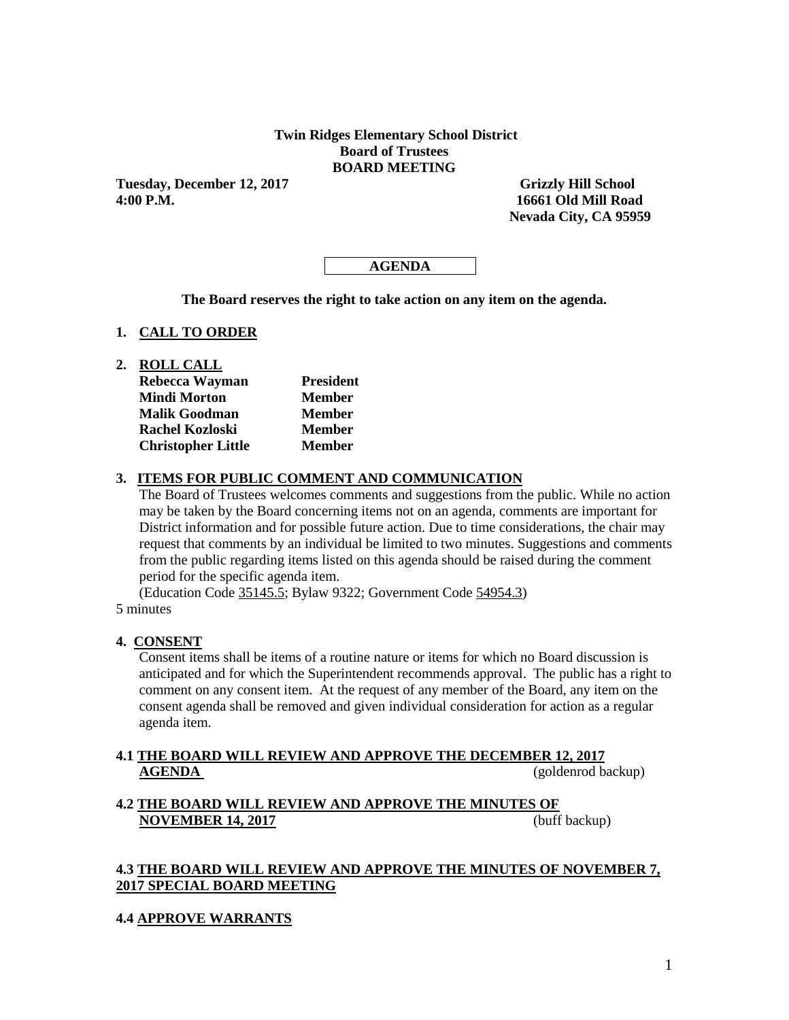**Twin Ridges Elementary School District Board of Trustees BOARD MEETING**

Tuesday, December 12, 2017<br>
4:00 P.M.<br>
16661 Old Mill Road

**4:00 P.M. 16661 Old Mill Road Nevada City, CA 95959**

# **AGENDA**

**The Board reserves the right to take action on any item on the agenda.**

### **1. CALL TO ORDER**

**2. ROLL CALL**

| Rebecca Wayman            | <b>President</b> |
|---------------------------|------------------|
| <b>Mindi Morton</b>       | <b>Member</b>    |
| <b>Malik Goodman</b>      | <b>Member</b>    |
| <b>Rachel Kozloski</b>    | <b>Member</b>    |
| <b>Christopher Little</b> | <b>Member</b>    |

### **3. ITEMS FOR PUBLIC COMMENT AND COMMUNICATION**

The Board of Trustees welcomes comments and suggestions from the public. While no action may be taken by the Board concerning items not on an agenda, comments are important for District information and for possible future action. Due to time considerations, the chair may request that comments by an individual be limited to two minutes. Suggestions and comments from the public regarding items listed on this agenda should be raised during the comment period for the specific agenda item.

(Education Code 35145.5; Bylaw 9322; Government Code 54954.3)

# 5 minutes

### **4. CONSENT**

Consent items shall be items of a routine nature or items for which no Board discussion is anticipated and for which the Superintendent recommends approval. The public has a right to comment on any consent item. At the request of any member of the Board, any item on the consent agenda shall be removed and given individual consideration for action as a regular agenda item.

## **4.1 THE BOARD WILL REVIEW AND APPROVE THE DECEMBER 12, 2017 AGENDA** (goldenrod backup)

### **4.2 THE BOARD WILL REVIEW AND APPROVE THE MINUTES OF NOVEMBER 14, 2017** (buff backup)

## **4.3 THE BOARD WILL REVIEW AND APPROVE THE MINUTES OF NOVEMBER 7, 2017 SPECIAL BOARD MEETING**

### **4.4 APPROVE WARRANTS**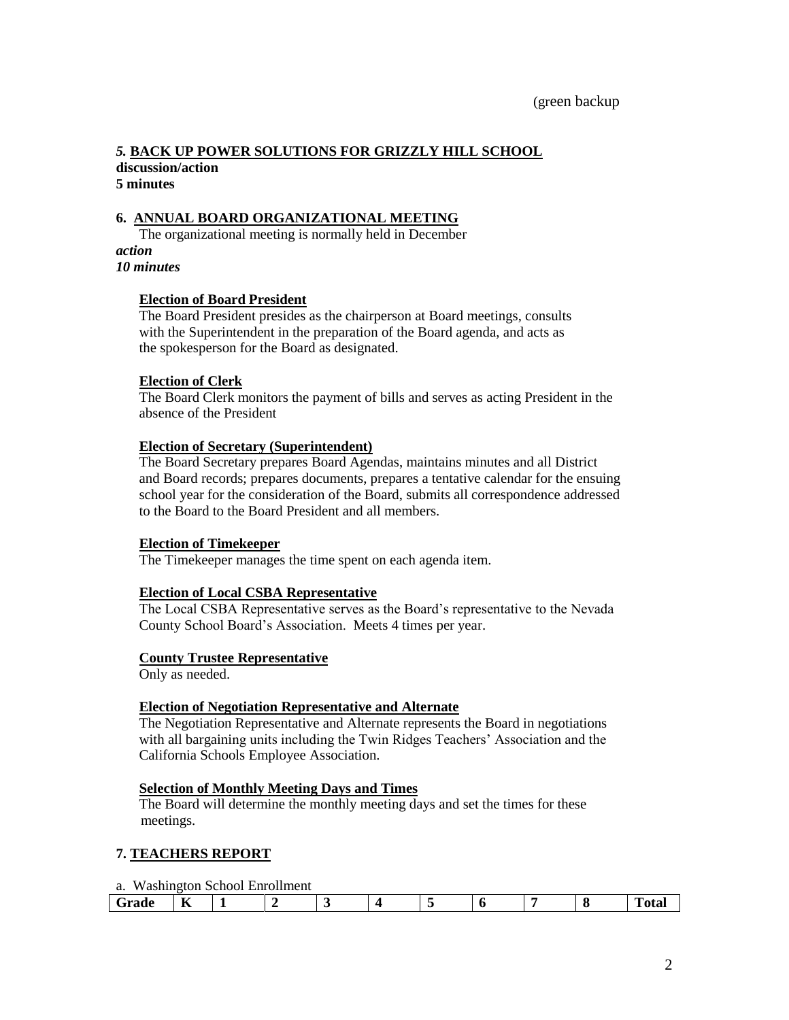#### *5.* **BACK UP POWER SOLUTIONS FOR GRIZZLY HILL SCHOOL discussion/action 5 minutes**

### **6. ANNUAL BOARD ORGANIZATIONAL MEETING**

The organizational meeting is normally held in December *action 10 minutes*

#### **Election of Board President**

The Board President presides as the chairperson at Board meetings, consults with the Superintendent in the preparation of the Board agenda, and acts as the spokesperson for the Board as designated.

#### **Election of Clerk**

The Board Clerk monitors the payment of bills and serves as acting President in the absence of the President

#### **Election of Secretary (Superintendent)**

The Board Secretary prepares Board Agendas, maintains minutes and all District and Board records; prepares documents, prepares a tentative calendar for the ensuing school year for the consideration of the Board, submits all correspondence addressed to the Board to the Board President and all members.

#### **Election of Timekeeper**

The Timekeeper manages the time spent on each agenda item.

#### **Election of Local CSBA Representative**

The Local CSBA Representative serves as the Board's representative to the Nevada County School Board's Association. Meets 4 times per year.

#### **County Trustee Representative**

Only as needed.

#### **Election of Negotiation Representative and Alternate**

The Negotiation Representative and Alternate represents the Board in negotiations with all bargaining units including the Twin Ridges Teachers' Association and the California Schools Employee Association.

#### **Selection of Monthly Meeting Days and Times**

The Board will determine the monthly meeting days and set the times for these meetings.

### **7. TEACHERS REPORT**

a. Washington School Enrollment

| Frade | ___<br>n. |  |  |  | . . |  |
|-------|-----------|--|--|--|-----|--|
|       |           |  |  |  |     |  |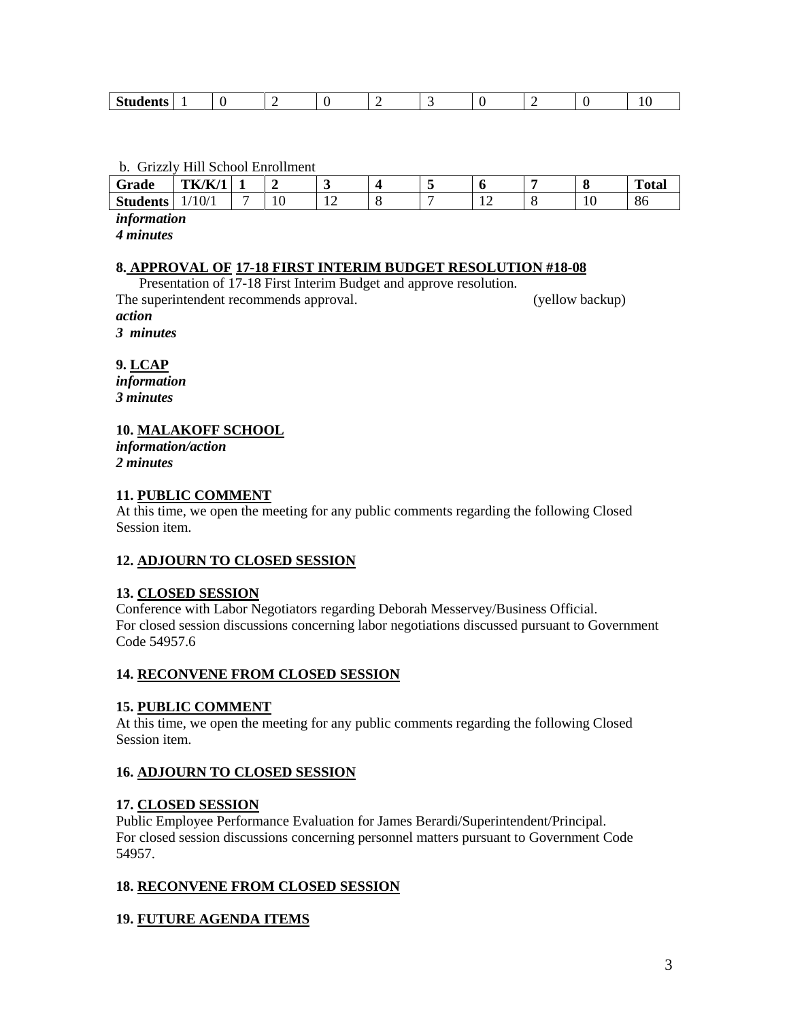#### b. Grizzly Hill School Enrollment

| <u>.</u>        |        |  |                   |            |  |  |          |  |     |            |
|-----------------|--------|--|-------------------|------------|--|--|----------|--|-----|------------|
| Grade           | TK/K/7 |  |                   |            |  |  |          |  | о   | m<br>`otal |
| <b>Students</b> | 'U/ 1  |  | $\sqrt{2}$<br>1 U | <b>I</b> 4 |  |  | <b>I</b> |  | 1 V | 86         |

*information*

*4 minutes*

### **8. APPROVAL OF 17-18 FIRST INTERIM BUDGET RESOLUTION #18-08**

Presentation of 17-18 First Interim Budget and approve resolution. The superintendent recommends approval. (yellow backup) *action 3 minutes*

## **9. LCAP**

*information 3 minutes*

## **10. MALAKOFF SCHOOL**

*information/action 2 minutes*

## **11. PUBLIC COMMENT**

At this time, we open the meeting for any public comments regarding the following Closed Session item.

# **12. ADJOURN TO CLOSED SESSION**

### **13. CLOSED SESSION**

Conference with Labor Negotiators regarding Deborah Messervey/Business Official. For closed session discussions concerning labor negotiations discussed pursuant to Government Code 54957.6

### **14. RECONVENE FROM CLOSED SESSION**

### **15. PUBLIC COMMENT**

At this time, we open the meeting for any public comments regarding the following Closed Session item.

## **16. ADJOURN TO CLOSED SESSION**

## **17. CLOSED SESSION**

Public Employee Performance Evaluation for James Berardi/Superintendent/Principal. For closed session discussions concerning personnel matters pursuant to Government Code 54957.

## **18. RECONVENE FROM CLOSED SESSION**

## **19. FUTURE AGENDA ITEMS**